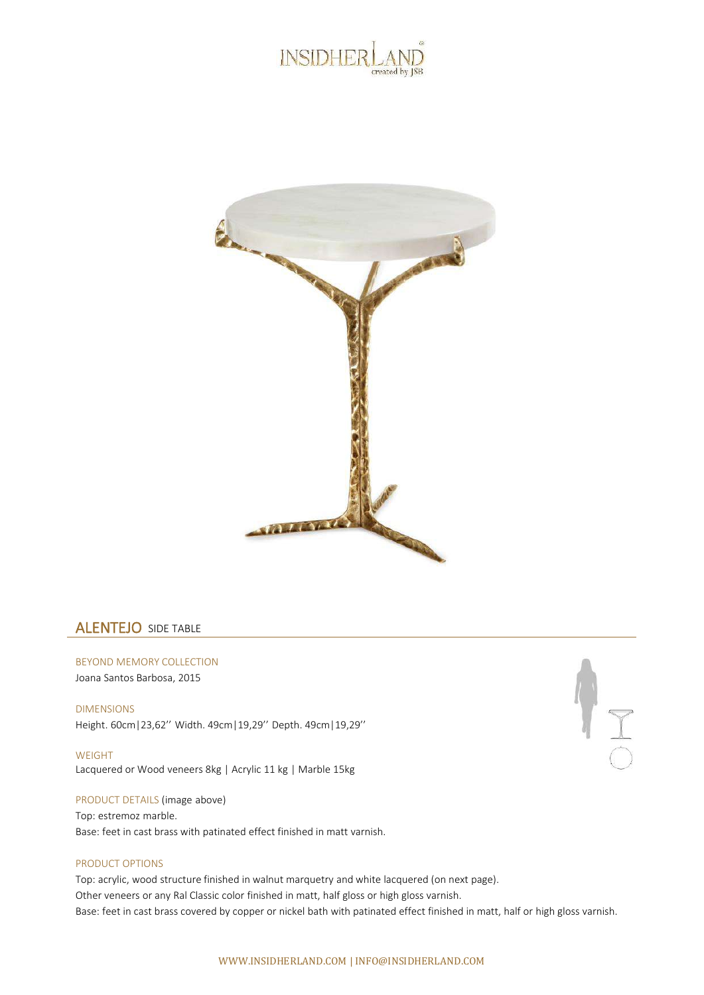



## ALENTEJO SIDE TABLE

BEYOND MEMORY COLLECTION Joana Santos Barbosa, 2015

DIMENSIONS Height. 60cm|23,62'' Width. 49cm|19,29'' Depth. 49cm|19,29''

WEIGHT Lacquered or Wood veneers 8kg | Acrylic 11 kg | Marble 15kg

PRODUCT DETAILS (image above)

Top: estremoz marble. Base: feet in cast brass with patinated effect finished in matt varnish.

## PRODUCT OPTIONS

Top: acrylic, wood structure finished in walnut marquetry and white lacquered (on next page). Other veneers or any Ral Classic color finished in matt, half gloss or high gloss varnish. Base: feet in cast brass covered by copper or nickel bath with patinated effect finished in matt, half or high gloss varnish.

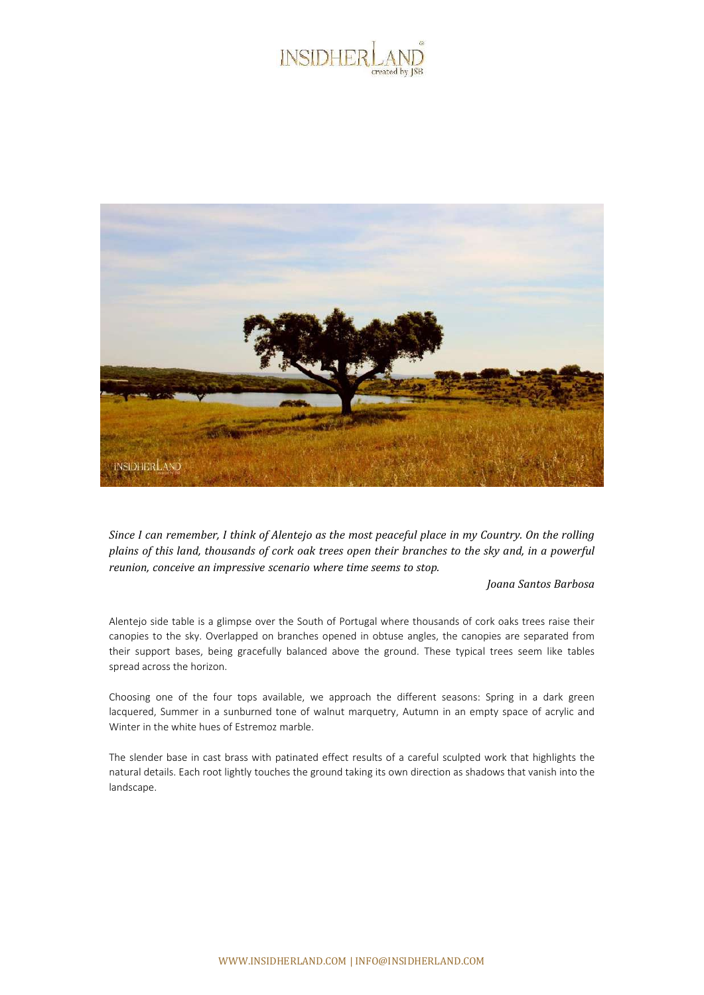



Since I can remember, I think of Alentejo as the most peaceful place in my Country. On the rolling plains of this land, thousands of cork oak trees open their branches to the sky and, in a powerful *reunion, conceive an impressive scenario where time seems to stop.*

## *Joana Santos Barbosa*

Alentejo side table is a glimpse over the South of Portugal where thousands of cork oaks trees raise their canopies to the sky. Overlapped on branches opened in obtuse angles, the canopies are separated from their support bases, being gracefully balanced above the ground. These typical trees seem like tables spread across the horizon.

Choosing one of the four tops available, we approach the different seasons: Spring in a dark green lacquered, Summer in a sunburned tone of walnut marquetry, Autumn in an empty space of acrylic and Winter in the white hues of Estremoz marble.

The slender base in cast brass with patinated effect results of a careful sculpted work that highlights the natural details. Each root lightly touches the ground taking its own direction as shadows that vanish into the landscape.